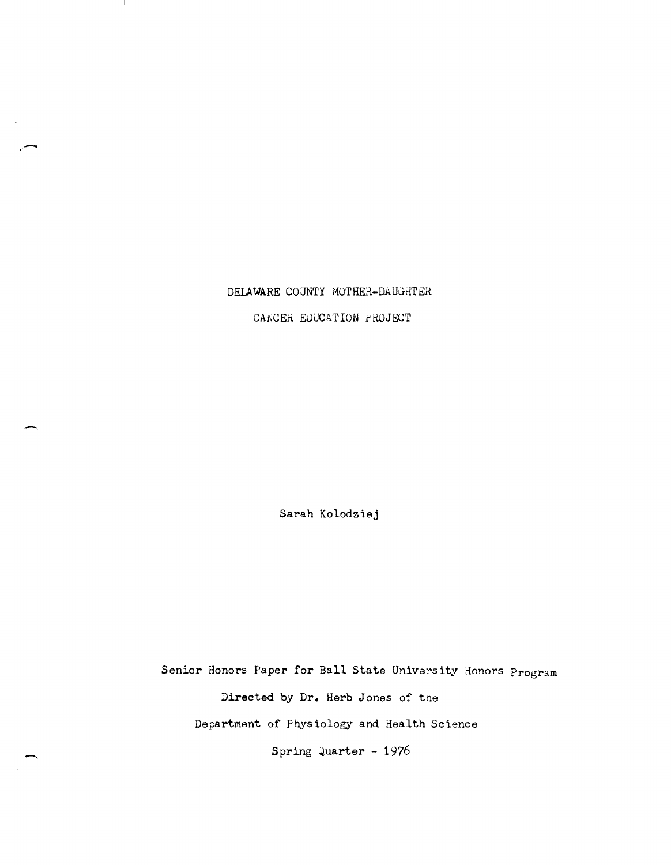### DELAWARE COUNTY MOTHER-DAUGHTER

CANCER EDUCATION PROJECT

Sarah Kolodziej

Senior Honors Paper for Ball State University Honors Program Directed by Dr. Herb Jones of the Department of Physiology and Health Science

Spring Quarter - 1976

 $\overline{\phantom{0}}$ 

 $\mathbf{I}$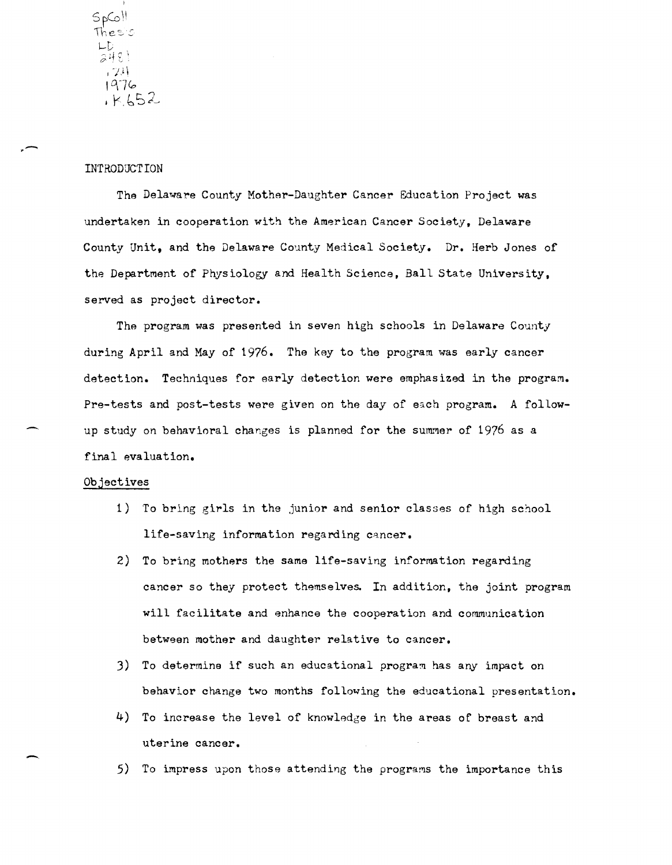$\mathsf{SpG} \mathsf{N}$  .  $1he$   $C$  $\begin{array}{c} 1.5 \\ 248 \\ -71 \end{array}$ I Q-7(.:.  $IK652$ 

#### INTRODUCTION

,-

 $\overline{\phantom{0}}$ 

The Delaware County Mother-Daughter Cancer Education Project was undertaken in cooperation with the American Cancer Society, Delaware County Unit, and the Delaware County Medical Society. Dr. Herb Jones of the Department of Physiology and Health Science, Ball State University, served as project director.

The program was presented in seven high schools in Delaware County during April and May of 1976. The key to the program was early cancer detection. Teehniques for early detection were emphasized in the program. Pre-tests and post-tests were given on the day of each program. A followup study on behavioral changes is planned for the summer of  $1976$  as a final evaluation.

#### Objectives

- 1) To bring girls in the junior and senior classes of high school life-saving information regarding cancer.
- 2) To bring mothers the same life-saving information regarding cancer so they protect themselves. In addition, the joint program will facilitate and enhance the cooperation and communication between mother and daughter relative to cancer.
- 3) To determine if such an educational program has any impact on behavior change two months following the educational presentation.
- $4)$  To increase the level of knowledge in the areas of breast and uterine cancer.
- 5) To impress upon those attending the programs the importance this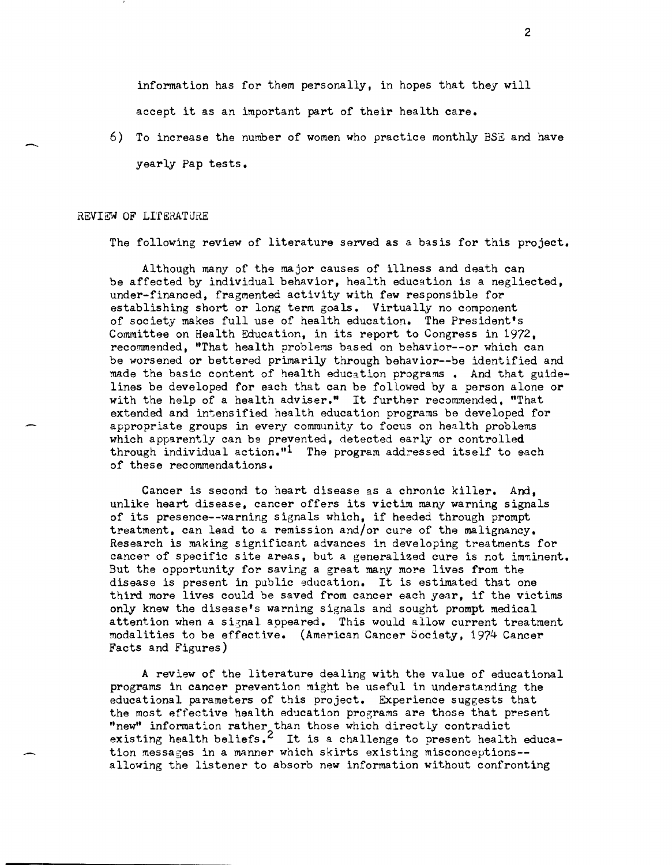information has for them personally, in hopes that they will accept it as an important part of their health care.

6) To increase the number of women who practice monthly BS $E$  and have yearly Pap tests.

#### REVIEW OF LITERATURE

-

The following review of literature served as a basis for this project.

Although many of the major causes of illness and death can be affected by individual behavior, health education is a negliected, under-financed, fragmented activity with few responsible for establishing short or long term goals. Virtually no component of society makes full use of health education. The President's Committee on Health Education, in its report to Congress in 1972. recommended, "That health problems based on behavior--or which can be worsened or bettered primarily through behavior--be identified and made the basic content of health education programs. And that guidelines be developed for each that can be followed by a person alone or with the help of a health adviser." It further recommended. "That extended and intensified health education programs be developed for appropriate groups in every community to focus on health problems which apparently can be prevented, detected early or controlled through individual action."<sup>1</sup> The program addressed itself to each of these recommendations.

Cancer is second to heart disease as a chronic killer. And, unlike heart disease, cancer offers its victim many warning signals of its presence--warning signals which, if heeded through prompt treatment, can lead to a remission and/or cure of the malignancy. Research is making significant advances in developing treatments for cancer of specific site areas, but a generalized cure is not imminent. But the opportunity for saving a great many more lives from the disease is present in public education. It is estimated that one third more lives could be saved from cancer each year, if the victims only knew the disease's warning signals and sought prompt medical attention when a signal appeared. This would allow current treatment modalities to be effective. (American Cancer Society, 1974 Cancer Facts and Figures)

A review of the literature dealing with the value of educational programs in cancer prevention might be useful in understanding the educational parameters of this project. Experience suggests that the most effective health education programs are those that present "new" information rather than those which directly contradict existing health beliefs.<sup>2</sup> It is a challenge to present health education messages in a manner which skirts existing misconceptions- allowing the listener to absorb new information without confronting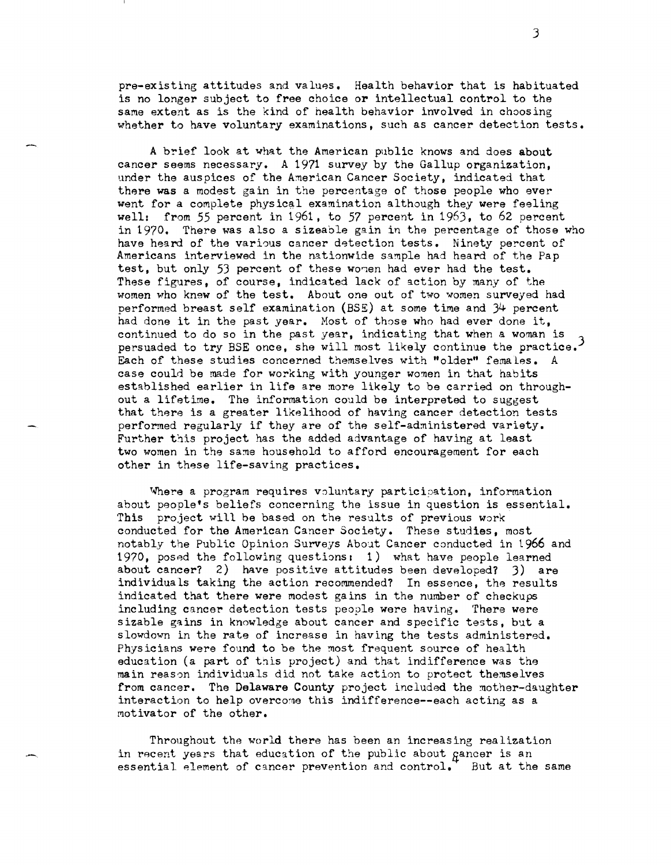pre-existing attitudes and values. Health behavior that is habituated is no longer subject to free choice or intellectual control to the same extent as is the kind of health behavior involved in choosing whether to have voluntary examinations, such as cancer detection tests.

A brief look at what the American public knows and does about cancer seems necessary. A 1971 survey by the Gallup organization, under the auspices of the American Cancer Society, indicated that there was a modest gain in the percentage of those people who ever went for a complete physical examination although they were feeling well: from 55 percent in 1961, to 57 percent in 1963, to 62 percent in 1970. There was also a sizeable gain in the percentage of those who have heard of the various cancer detection tests. Ninety percent of Americans interviewed in the nationwide sample had heard of the Pap test, but only 53 percent of these women had ever had the test. These figures, of course, indicated lack of action by many of the women who knew of the test. About one out of two women surveyed had performed breast self examination (BSE) at some time and  $34$  percent had done it in the past year. Most of those who had ever done it, continued to do so in the past year, indicating that when a woman is persuaded to try BSE once, she will most likely continue the practice.<sup>3</sup> Each of these studies concerned themselves with "older" females. A case could be made for working with younger women in that habits established earlier in life are more likely to be carried on throughout a lifetime. The information could be interpreted to suggest that there is a greater likelihood of having cancer detection tests performed regularly if they are of the self-administered variety. Further this project has the added advantage of having at least two women in the same household to afford encouragement for each other in these life-saving practices.

Where a program requires voluntary participation, information about people's beliefs concerning the issue in question is essential. This project will be based on the results of previous work conducted for the American Cancer Society. These studies, most notably the Public Opinion Surveys About Cancer conducted in 1966 and 1970, posed the following questions:  $1)$  what have people learned about cancer? 2) have positive attitudes been developed? 3) are individuals taking the action recommended? In essence, the results indicated that there were modest gains in the number of checkups including cancer detection tests people were having. There were sizable gains in knowledge about cancer and specific tests, but a slowdown in the rate of increase in having the tests administered. Physicians were found to be the most frequent source of health education (a part of t~is project) and that indifference was the main reason individuals did not take action to protect themselves from cancer. The Delaware County project included the mother-daughter interaction to help overcome this indifference--each acting as a motivator of the other.

Throughout the world there has been an increasing realization in recent years that education of the public about gancer is an essential element of cancer prevention and control. But at the same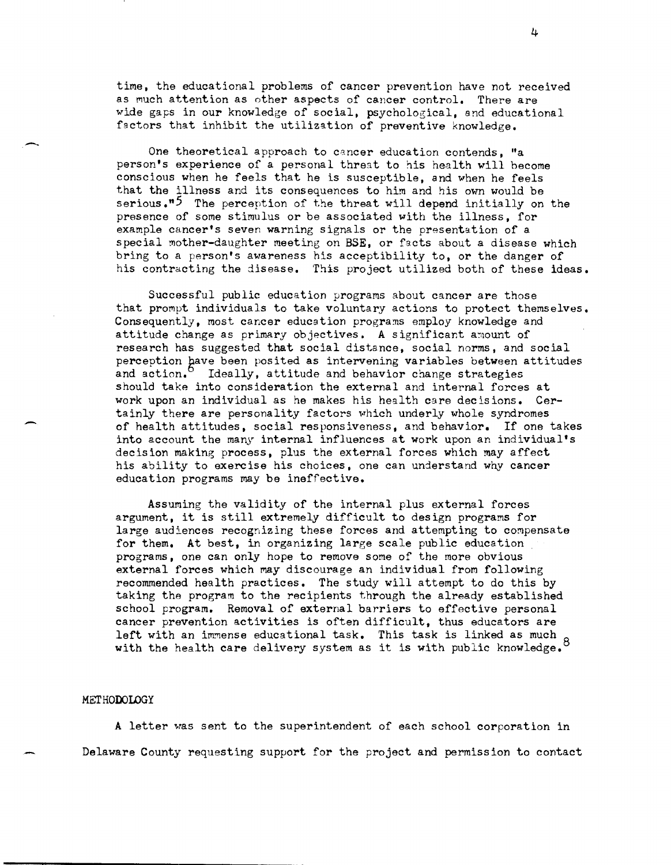time, the educational problems of cancer prevention have not received as much attention as other aspects of cancer control. There are wide gaps in our knowledge of social, psychological, and educational factors that inhibit the utilization of preventive knowledge.

One theoretical approach to cancer education contends, "a person's experience of a personal threat to his health will become conscious when he feels that he is susceptible, and when he feels that the illness and its consequences to him and his own would be serious."<sup>5</sup> The perception of the threat will depend initially on the presence of some stimulus or be associated with the illness, for example cancer's seven warning signals or the presentation of a special mother-daughter meeting on BSE, or facts about a disease which bring to a person's awareness his acceptibility to, or the danger of his contracting the disease. This project utilized both of these ideas.

Successful public education programs about cancer are those that prompt individuals to take voluntary actions to protect themselves. Consequently, most cancer education programs employ knowledge and attitude change as primary objectives. A significant amount of research has suggested that social distance, social norms, and social perception have been posited as intervening variables between attitudes and action.<sup>0</sup> Ideally, attitude and behavior change strategies should take into consideration the external and internal forces at work upon an individual as he makes his health care decisions. Certainly there are personality factors which underly whole syndromes of health attitudes, social responsiveness, and behavior. If one takes into account the many internal influences at work upon an individual's decision making process, plus the external forces which may affect his ability to exercise his choices, one can understand why cancer education programs may be ineffective.

Assuming the validity of the internal plus external forces argument, it is still extremely difficult to design programs for large audiences recognizing these forces and attempting to compensate for them. At best, in organizing large scale public education programs, one can only hope to remove some of the more obvious external forces which may discourage an individual from following recommended health practices. The study will attempt to do this by taking the program to the recipients through the already established school program. Removal of external barriers to effective personal cancer prevention activities is often difficult, thus educators are left with an immense educational task. This task is linked as much 8 with the health care delivery system as it is with public knowledge.

#### METHODOLOGY

A letter was sent to the superintendent of each school corporation in Delaware County requesting support for the project and permission to contact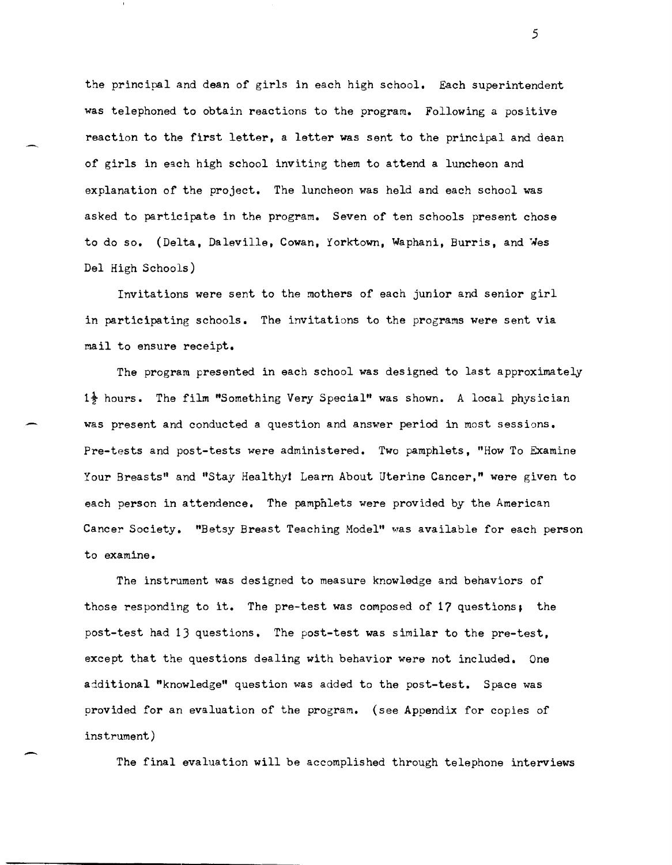the principal and dean of girls in each high school. Each superintendent was telephoned to obtain reactions to the program. Following a positive reaction to the first letter, a letter was sent to the principal and dean of girls in each high school inviting them to attend a luncheon and explanation of the project. The luncheon was held and each school was asked to participate in the program. Seven of ten schools present chose to do so. (Delta, Daleville, Cowan, Yorktown, Waphani, Burris, and Nes Del High Schools)

Invitations were sent to the mothers of each junior and senior girl in participating schools. The invitations to the programs were sent via mail to ensure receipt.

The program presented in each school was designed to last approximately  $1\frac{1}{2}$  hours. The film "Something Very Special" was shown. A local physician was present and conducted a question and answer period in most sessions. Pre-tests and post-tests were administered. Two pamphlets, "How To Examine Your Breasts" and "Stay Healthy! Learn About Uterine Cancer," were given to each person in attendence. The pamphlets were provided by the American Cancer Society. "Betsy Breast Teaching Model" was available for each person to examine.

The instrument was designed to measure knowledge and behaviors of those responding to it. The pre-test was composed of 17 questions, the post-test had 13 questions. The post-test was similar to the pre-test, except that the questions dealing with behavior were not included. One additional "knowledge" question was added to the post-test. Space was provided for an evaluation of the program. (see Appendix for copies of instrument)

-

The final evaluation will be accomplished through telephone interviews

5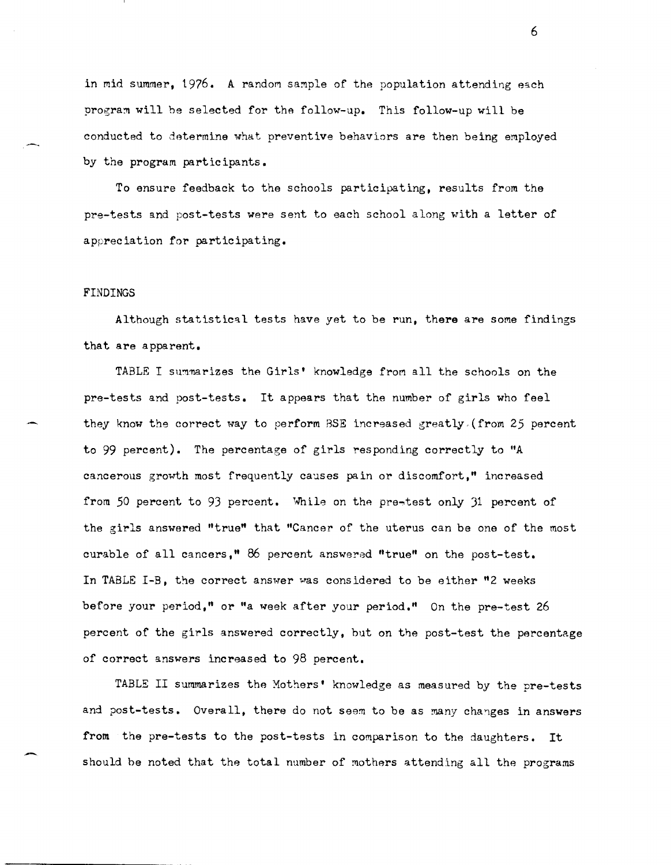in mid summer, 1976. A random sample of the population attending each program will be selected for the follow-up. This follow-up will be conducted to determine what preventive behaviors are then being employed by the program participants.

To ensure feedback to the schools participating, results from the pre-tests and post-tests were sent to each school along with a letter of appreciation for participating.

#### FINDINGS

Although statistical tests have yet to be run, there are some findings that are apparent.

TABLE I summarizes the Girls' knowledge from all the schools on the pre-tests and post-tests. It appears that the number of girls who feel they know the correct way to perform BSE increased greatly . (from 25 percent to 99 percent). The percentage of girls responding correctly to "A cancerous growth most frequently causes pain or discomfort," increased from 50 percent to 93 percent. While on the pre-test only 31 percent of the girls answered "true" that "Cancer of the uterus can be one of the most curable of all cancers," 86 percent answered "true" on the post-test. In TABLE I-B, the correct answer was considered to be either "2 weeks before your period," or "a week after your period." On the pre-test 26 percent of the girls answered correctly, but on the post-test the percentage of correct answers increased to 98 percent.

TABLE II summarizes the Mothers' knowledge as measured by the pre-tests and post-tests. Overall, there do not seem to be as many changes in answers from the pre-tests to the post-tests in comparison to the daughters. It should be noted that the total number of mothers attending all the programs

6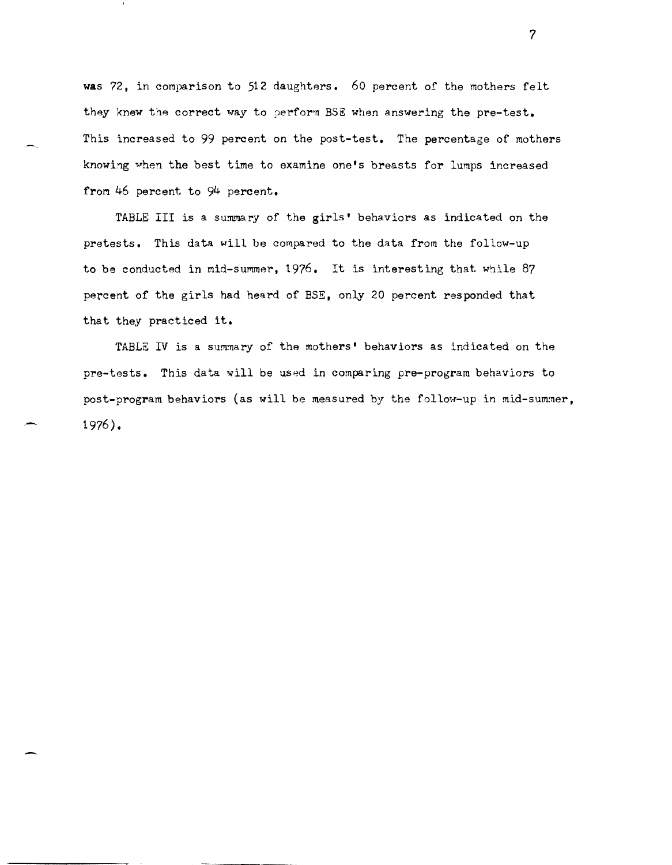was 72, in comparison to 512 daughters. 60 percent of the mothers felt they knew the correct way to perform BSE when answering the pre-test. This increased to 99 percent on the post-test. The percentage of mothers knowing when the best time to examine one's breasts for lumps increased from 46 percent to 94 percent.

TABLE III is a summary of the girls' behaviors as indicated on the pretests. This data will be compared to the data from the follow-up to be conducted in mid-summer, 1976. It is interesting that while 87 percent of the girls had heard of BSE, only 20 percent responded that that they practiced **it.** 

TABLE IV is a summary of the mothers' behaviors as indicated on the pre-tests. This data will be used in comparing pre-program behaviors to post-program behaviors (as will be measured by the follow-up in mid-summer. 1976) •

7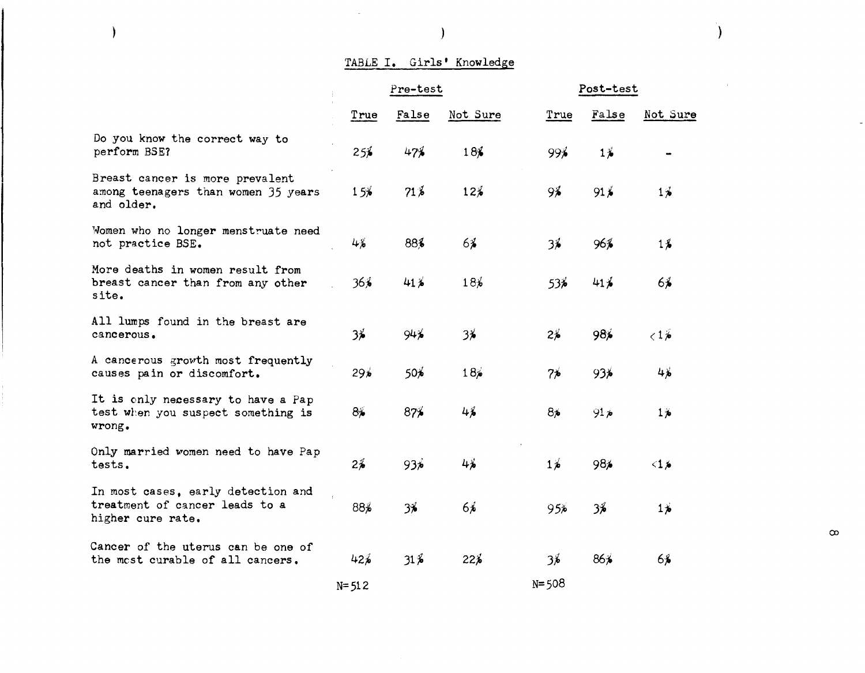# TABLE I. Girls' Knowledge

 $\hat{\mathcal{A}}$ 

 $\overline{\phantom{a}}$ 

|                                                                                           | Pre-test       |        |                 | Post-test       |                 |                       |
|-------------------------------------------------------------------------------------------|----------------|--------|-----------------|-----------------|-----------------|-----------------------|
|                                                                                           | True           | False  | Not Sure        | True            | False           | Not Sure              |
| Do you know the correct way to<br>perform BSE?                                            | 25%            | 47%    | 18%             | 99%             | $1\frac{3}{2}$  |                       |
| Breast cancer is more prevalent<br>among teenagers than women 35 years<br>and older.      | 15%            | $71\%$ | 12%             | 9%              | $91\%$          | $1\frac{3}{2}$        |
| Women who no longer menstruate need<br>not practice BSE.                                  | 4%             | 88%    | 6%              | $3\%$           | 96%             | $1\frac{g}{\hbar}$    |
| More deaths in women result from<br>breast cancer than from any other<br>site.            | 36%            | $41\%$ | $18\%$          | 53%             | $41\frac{1}{2}$ | $6\%$                 |
| All lumps found in the breast are<br>cancerous.                                           | $3\%$          | 94%    | $3\frac{3}{2}$  | $2\frac{1}{2}$  | 98%             | (1)                   |
| A cancerous growth most frequently<br>causes pain or discomfort.                          | 29%            | $50\%$ | 18 <sub>0</sub> | $7\frac{1}{2}$  | 93%             | 46                    |
| It is only necessary to have a Pap<br>test when you suspect something is<br>wrong.        | 8%             | 87%    | 4%              | $8\star$        | 91p             | $1\gamma$             |
| Only married women need to have Pap<br>tests.                                             | $2\frac{2}{5}$ | $93\%$ | $4\%$           | $1\frac{1}{2}$  | 98%             | $\leq 1/6$            |
| In most cases, early detection and<br>treatment of cancer leads to a<br>higher cure rate. | 88%            | 3%     | 6%              | 95 <sub>b</sub> | $3\%$           | $1\frac{y}{\epsilon}$ |
| Cancer of the uterus can be one of<br>the most curable of all cancers.                    | 42/6           | $31\%$ | 22%             | $3\%$           | 86%             | 6%                    |
|                                                                                           | $N = 512$      |        |                 | $N = 508$       |                 |                       |

 $\infty$ 

 $\hat{\mathbf{r}}$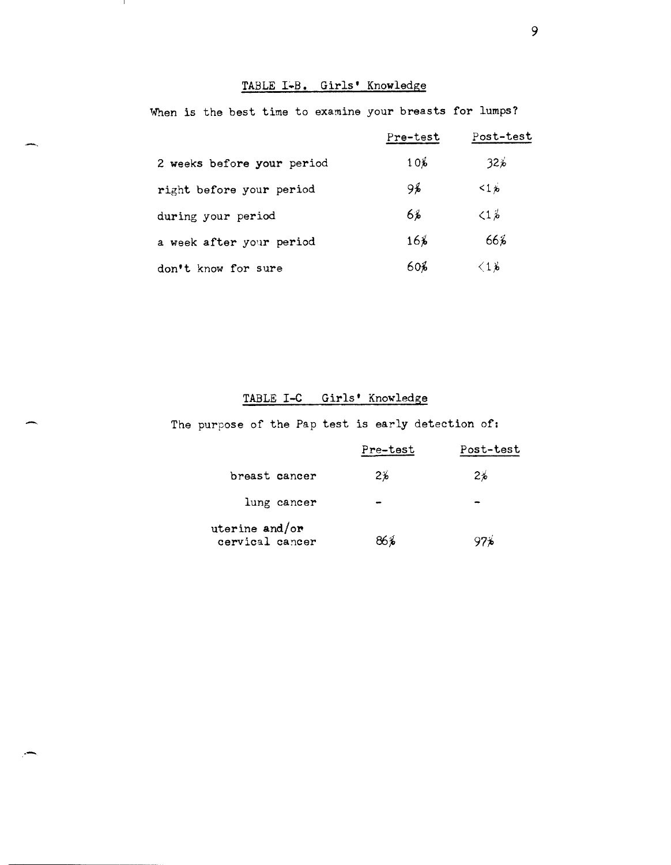# TABLE I~B. Girls' Knowledge

|                            | Pre-test | Post-test       |
|----------------------------|----------|-----------------|
| 2 weeks before your period | $10\%$   | 32k             |
| right before your period   | 9%       | $\leq 1$ $\sim$ |
| during your period         | 6%       | $\leq 1.25$     |
| a week after your period   | 16%      | 66%             |
| don't know for sure        | 60%      | $\leq 1$ ) is   |

When is the best time to examine your breasts for lumps?

-.

 $\mathbf{I}$ 

# TABLE I-C Girls' Knowledge

The purpose of the Pap test is early detection of:

|                                   | Pre-test | Post-test |
|-----------------------------------|----------|-----------|
| breast cancer                     | $2\%$    | 2k        |
| lung cancer                       |          |           |
| uterine and/or<br>cervical cancer | 86%      |           |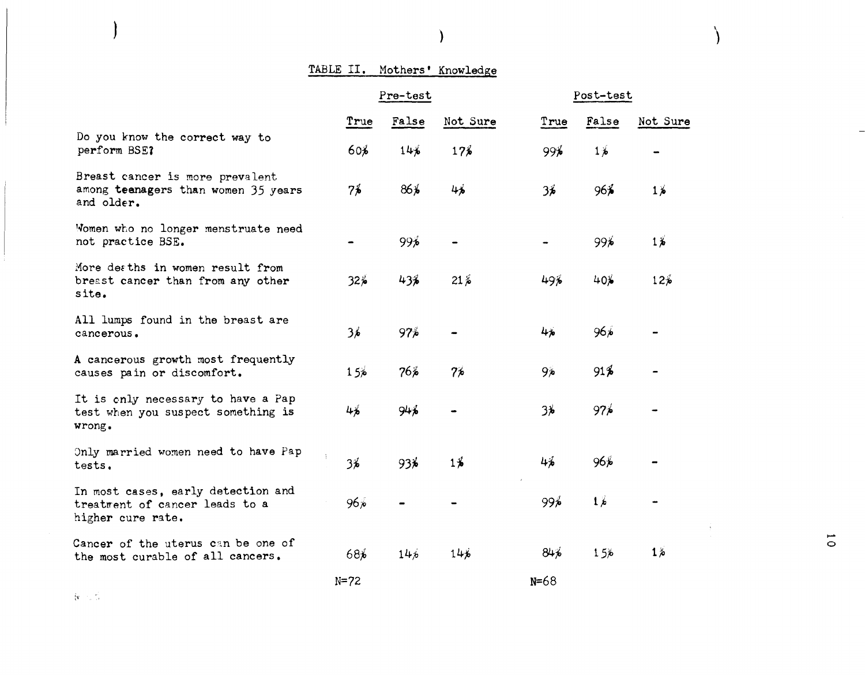TABLE II. Hothers' Knowledge

) the contract of the contract of  $\lambda$  (  $\lambda$  ) and  $\lambda$  (  $\lambda$  ) and  $\lambda$  (  $\lambda$  ) and  $\lambda$  (  $\lambda$  ) and  $\lambda$ 

|                                                                                           |                | Pre-test        |                |                | Post-test      |                |
|-------------------------------------------------------------------------------------------|----------------|-----------------|----------------|----------------|----------------|----------------|
|                                                                                           | True           | False           | Not Sure       | True           | False          | Not Sure       |
| Do you know the correct way to<br>perform BSE?                                            | 60%            | $14\frac{1}{2}$ | 17%            | 99≸            | $1\frac{1}{2}$ |                |
| Breast cancer is more prevalent<br>among teenagers than women 35 years<br>and older.      | 7%             | 86≸             | 4%             | 3≸             | 96%            | $1\frac{1}{2}$ |
| Women who no longer menstruate need<br>not practice BSE.                                  |                | 99%             |                |                | 99≸            | $1\frac{1}{2}$ |
| More deaths in women result from<br>breast cancer than from any other<br>site.            | 32%            | 43%             | 21%            | 49%            | 40%            | $12\%$         |
| All lumps found in the breast are<br>cancerous.                                           | $3\frac{1}{2}$ | 97 <sub>b</sub> |                | 4 <sub>b</sub> | 96 s           |                |
| A cancerous growth most frequently<br>causes pain or discomfort.                          | 15k            | $76\%$          | $7\frac{1}{2}$ | 9 <sub>b</sub> | 91%            |                |
| It is only necessary to have a Pap<br>test when you suspect something is<br>wrong.        | 4%             | 94%             |                | 3%             | 97/6           |                |
| Only married women need to have Pap<br>tests.                                             | $3\%$          | 93≸             | $1\frac{2}{5}$ | $4\frac{7}{6}$ | 96%            |                |
| In most cases, early detection and<br>treatment of cancer leads to a<br>higher cure rate. | %96            |                 |                | 99%            | 1 <sub>b</sub> |                |
| Cancer of the uterus can be one of<br>the most curable of all cancers.                    | 68%            | 146             | 146            | $84\%$         | 15%            | $1\%$          |
|                                                                                           | $N = 72$       |                 |                | $N = 68$       |                |                |

*iv* 

)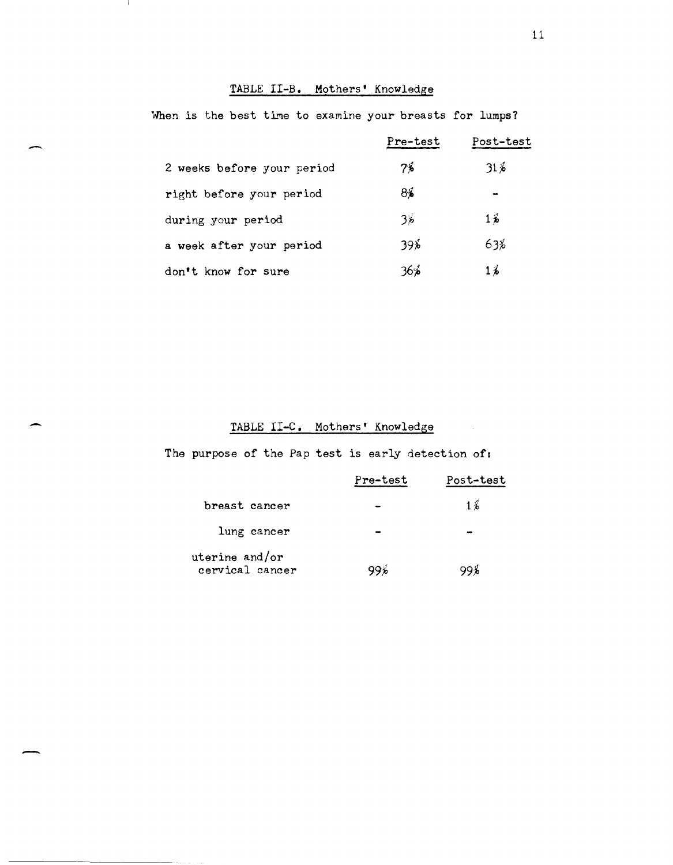### TABLE II-B. Mothers' Knowledge

|                            | Pre-test | Post-test       |
|----------------------------|----------|-----------------|
| 2 weeks before your period | 7%       | $31\%$          |
| right before your period   | 8%       |                 |
| during your period         | $3\%$    | $1\,\mathrm{k}$ |
| a week after your period   | 39%      | 63%             |
| don't know for sure        | 36%      | 1 %             |

When is the best time to examine your breasts for lumps?

# TABLE II-C. Mothers' Knowledge

-

The purpose of the Pap test is early detection of:

|                                   | Pre-test | Post-test           |
|-----------------------------------|----------|---------------------|
| breast cancer                     |          | $1\hat{\mathbf{z}}$ |
| lung cancer                       |          |                     |
| uterine and/or<br>cervical cancer |          |                     |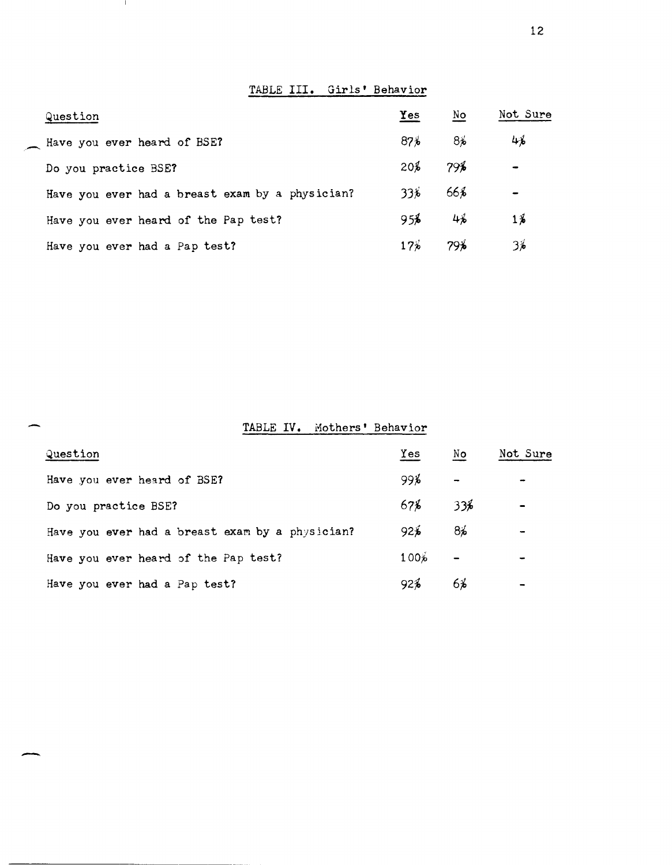TABLE III. Girls' Behavior

| Question                                        | Yes          | No    | Not Sure |
|-------------------------------------------------|--------------|-------|----------|
| Have you ever heard of BSE?                     | 87%          | 8%    | 4%       |
| Do you practice BSE?                            | 20%          | 79%   |          |
| Have you ever had a breast exam by a physician? | $33\epsilon$ | 66%   |          |
| Have you ever heard of the Pap test?            | 95%          | $4\%$ | 1%       |
| Have you ever had a Pap test?                   | $17\%$       | 79%   | 3%       |

 $\mathbf{I}$ 

TABLE IV. Mothers' Behavior

| Question                                        | Yes     | No  | Not Sure |
|-------------------------------------------------|---------|-----|----------|
| Have you ever heard of BSE?                     | 99%     |     |          |
| Do you practice BSE?                            | 67%     | 33% |          |
| Have you ever had a breast exam by a physician? | 92≸     | 8%  |          |
| Have you ever heard of the Pap test?            | $100\%$ |     |          |
| Have you ever had a Pap test?                   | 92%     | 6%  |          |

-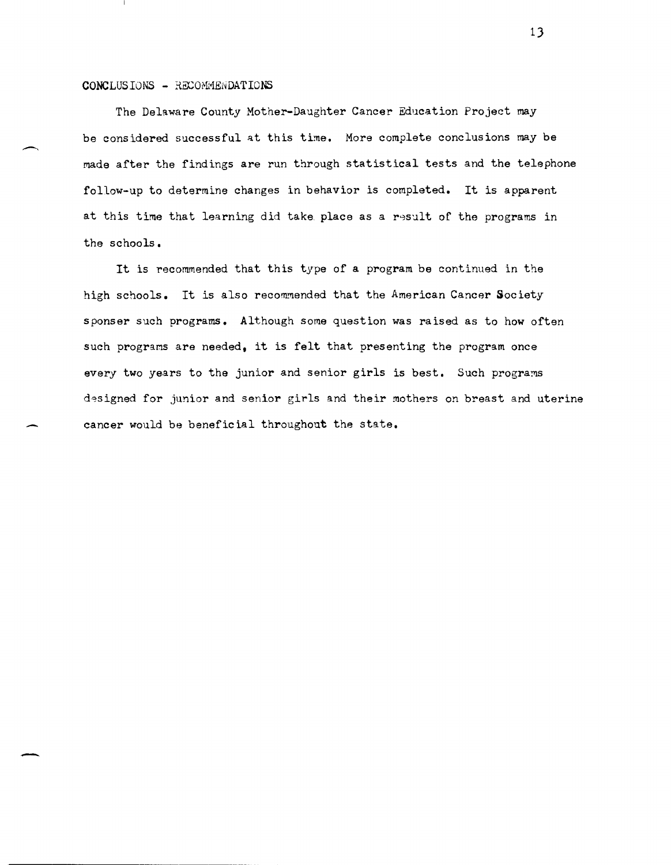#### CONCLUSIONS - RECOMMENDATIONS

The Delaware County Mother-Daughter Cancer Education Project may be considered successful at this time. More complete conclusions may be made after the findings are run through statistical tests and the telephone follow-up to determine changes in behavior is completed. It is apparent at this time that learning did take place as a result of the programs in the schools.

It is recommended that this type of a program be continued in the high schools. It is also recommended that the American Cancer Society sponser such programs. Although some question was raised as to how often such programs are needed, it is felt that presenting the program once every two years to the junior and senior girls is best. Such programs designed for junior and senior girls and their mothers on breast and uterine cancer would be beneficial throughout the state.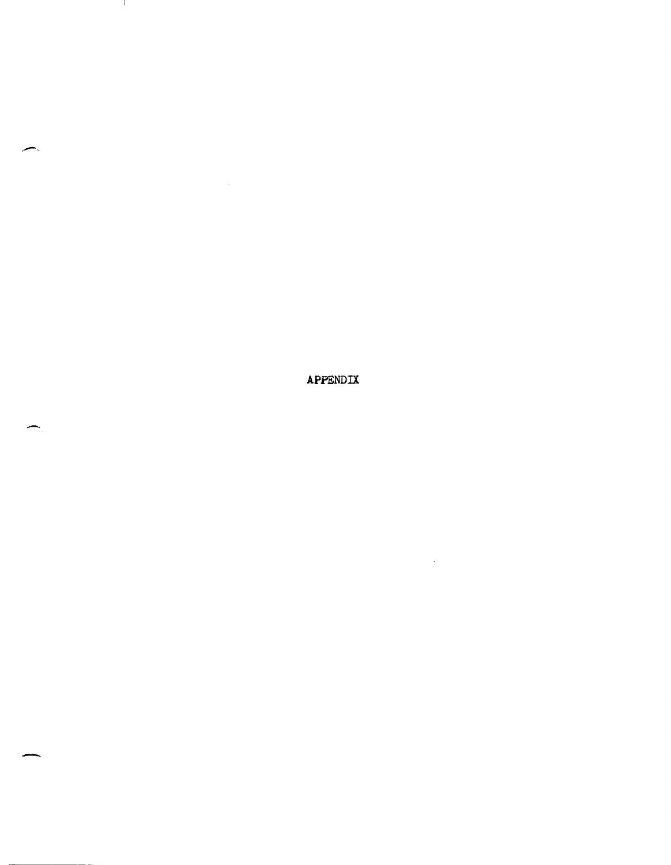APPENDIX

 $\mathbf{v}$ 

-

 $\mathbf{I}$ 

 $\sim$ 

,,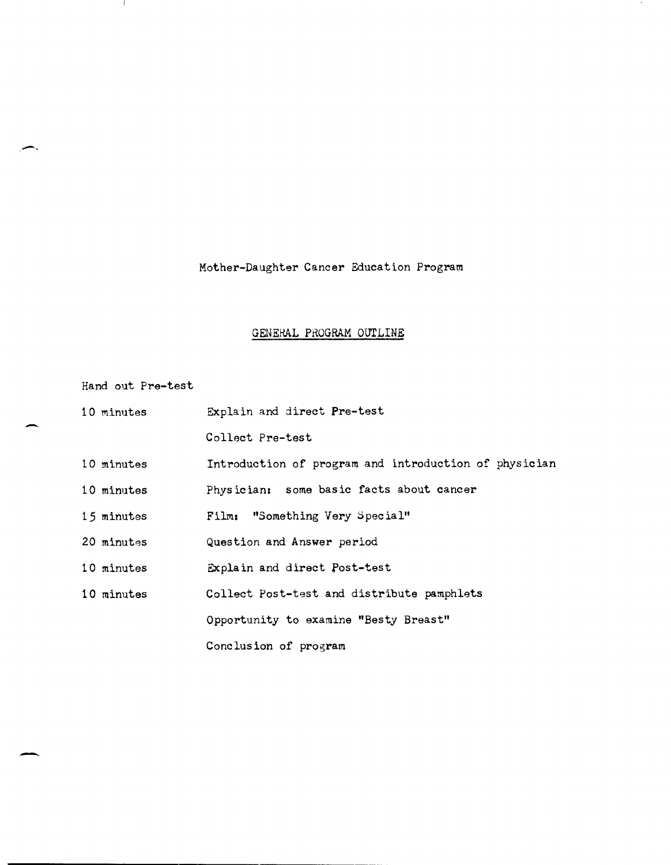# Mother-Daughter Cancer Education Program

# GENERAL PROGRAM OUTLINE

Hand out Pre-test

 $\mathbf{I}$ 

-

-

| 10 minutes | Explain and direct Pre-test                           |
|------------|-------------------------------------------------------|
|            | Collect Pre-test                                      |
| 10 minutes | Introduction of program and introduction of physician |
| 10 minutes | Physician: some basic facts about cancer              |
| 15 minutes | Film: "Something Very Special"                        |
| 20 minutes | Question and Answer period                            |
| 10 minutes | Explain and direct Post-test                          |
| 10 minutes | Collect Post-test and distribute pamphlets            |
|            | Opportunity to examine "Besty Breast"                 |
|            | Conclusion of program                                 |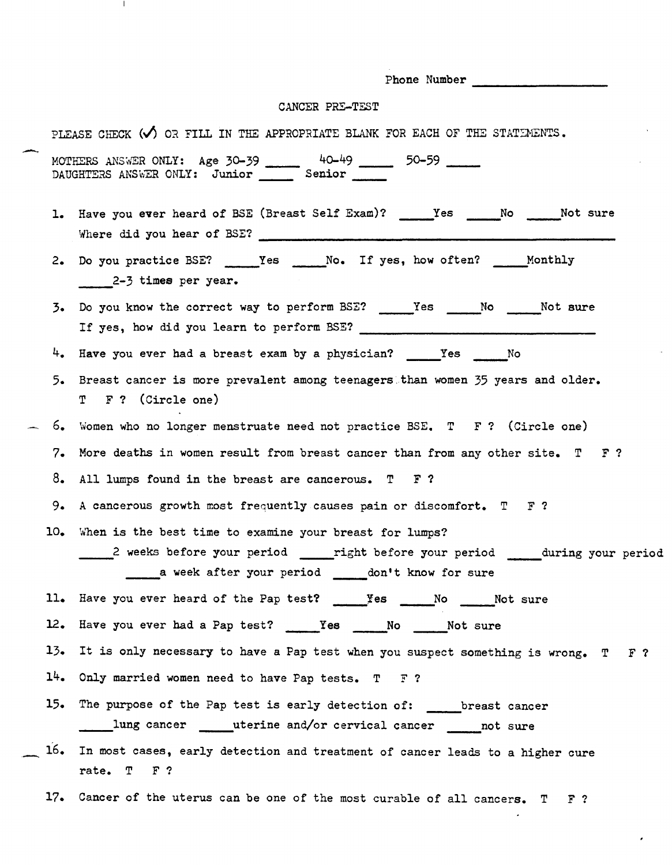Phone Number \_\_\_\_\_\_\_\_\_\_\_\_\_\_\_\_\_\_ \_

 $\epsilon$ 

### CANCER PRS-TEST

 $\mathbf{I}$ 

|     | PLEASE CHECK $($ OR FILL IN THE APPROPRIATE BLANK FOR EACH OF THE STATEMENTS.                                                          |
|-----|----------------------------------------------------------------------------------------------------------------------------------------|
|     | MOTHERS ANSWER ONLY: Age 30-39 $\frac{40-49}{ }$ 50-59 $\frac{50-59}{ }$                                                               |
|     | 1. Have you ever heard of BSE (Breast Self Exam)? _____Yes _____No _____Not sure<br>Where did you hear of BSE?                         |
|     | 2. Do you practice BSE? _____Yes _____No. If yes, how often? _____ Monthly<br>$2-3$ times per year.                                    |
| 5.  | Do you know the correct way to perform BSE? _____Yes _____No _____Not sure                                                             |
|     | 4. Have you ever had a breast exam by a physician? ______Yes ______No                                                                  |
|     | 5. Breast cancer is more prevalent among teenagersthan women 35 years and older.<br>T F ? (Circle one)                                 |
| 6.  | Women who no longer menstruate need not practice BSE. T F? (Circle one)                                                                |
|     | 7. More deaths in women result from breast cancer than from any other site. T F?                                                       |
| 8.  | All lumps found in the breast are cancerous. T F?                                                                                      |
| 9.  | A cancerous growth most frequently causes pain or discomfort. T F?                                                                     |
| 10. | When is the best time to examine your breast for lumps?                                                                                |
|     | a weeks before your period and right before your period and during your period that is a seriod to the contract                        |
|     | 11. Have you ever heard of the Pap test? Wes No Not sure                                                                               |
|     | 12. Have you ever had a Pap test? _____ Yes _____ No _____ Not sure                                                                    |
| 13. | It is only necessary to have a Pap test when you suspect something is wrong. T F?                                                      |
| 14. | Only married women need to have Pap tests. T F?                                                                                        |
| 15. | The purpose of the Pap test is early detection of: breast cancer<br>___lung cancer ______uterine and/or cervical cancer ______not sure |
| 16. | In most cases, early detection and treatment of cancer leads to a higher cure<br>rate. T F ?                                           |
|     | 17. Cancer of the uterus can be one of the most curable of all cancers. T F?                                                           |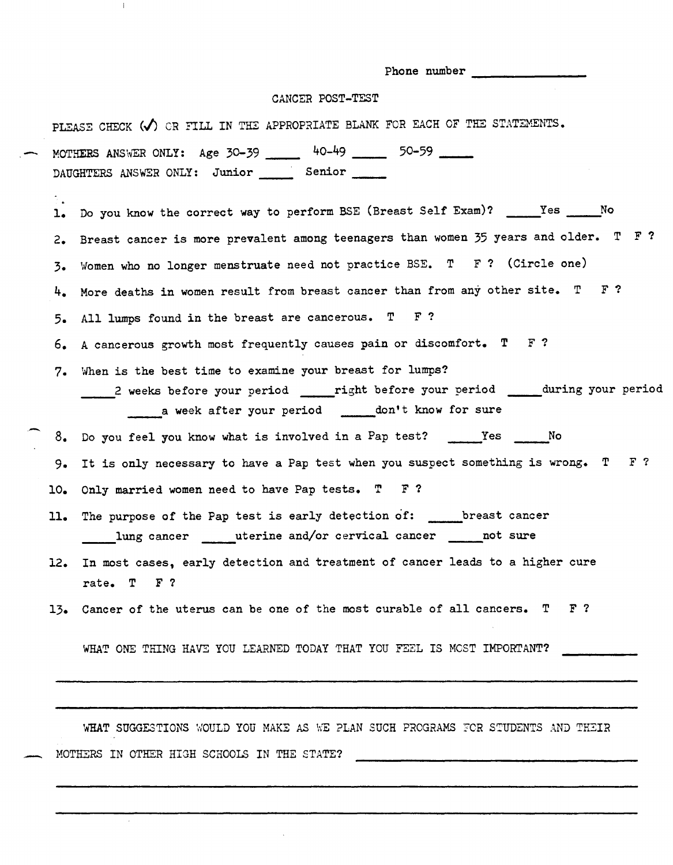|     | Phone number                                                                                                                                                                                       |
|-----|----------------------------------------------------------------------------------------------------------------------------------------------------------------------------------------------------|
|     | CANCER POST-TEST                                                                                                                                                                                   |
|     | PLEASE CHECK (V) OR FILL IN THE APPROPRIATE BLANK FOR EACH OF THE STATEMENTS.                                                                                                                      |
|     | MOTHERS ANSWER ONLY: Age 30-39 _____ 40-49 ____ 50-59 ____<br>DAUGHTERS ANSWER ONLY: Junior ________ Senior ______                                                                                 |
| ı.  | Do you know the correct way to perform BSE (Breast Self Exam)? _____Yes _____No                                                                                                                    |
| 2.  | Breast cancer is more prevalent among teenagers than women 35 years and older. T F ?                                                                                                               |
| 3.  | Women who no longer menstruate need not practice BSE. T F ? (Circle one)                                                                                                                           |
| 4.  | More deaths in women result from breast cancer than from any other site. $T$ F?                                                                                                                    |
| 5.  | All lumps found in the breast are cancerous. T F ?                                                                                                                                                 |
| 6.  | A cancerous growth most frequently causes pain or discomfort. T F ?                                                                                                                                |
| 7.  | When is the best time to examine your breast for lumps?<br>2 weeks before your period _____right before your period _____during your period<br>a week after your period _______don't know for sure |
|     | 8. Do you feel you know what is involved in a Pap test? ______Yes ______No                                                                                                                         |
| 9.  | It is only necessary to have a Pap test when you suspect something is wrong. T F?                                                                                                                  |
| 10. | Only married women need to have Pap tests. T F ?                                                                                                                                                   |
| 11. | The purpose of the Pap test is early detection of: ____ breast cancer<br>lung cancer ______ uterine and/or cervical cancer _____ not sure                                                          |
| 12. | In most cases, early detection and treatment of cancer leads to a higher cure<br>rate. T F?                                                                                                        |
|     | 13. Cancer of the uterus can be one of the most curable of all cancers. T F?                                                                                                                       |
|     | WHAT ONE THING HAVE YOU LEARNED TODAY THAT YOU FEEL IS MCST IMPORTANT?                                                                                                                             |
|     | WHAT SUGGESTIONS WOULD YOU MAKE AS WE PLAN SUCH PROGRAMS FOR STUDENTS AND THEIR                                                                                                                    |

 $\ddot{\psi}$ 

 $\hat{\mathcal{L}}$